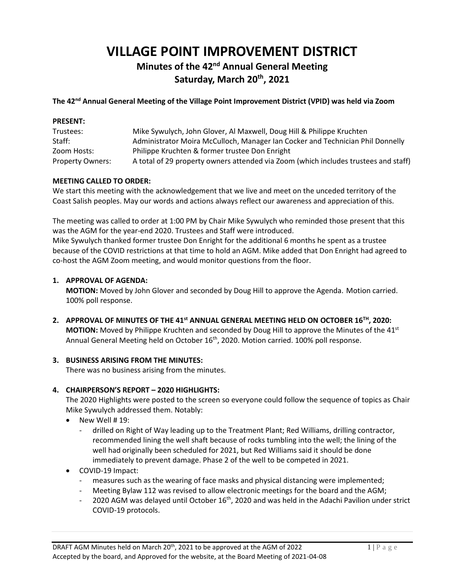# **VILLAGE POINT IMPROVEMENT DISTRICT**

## **Minutes of the 42<sup>nd</sup> Annual General Meeting Saturday, March 20th, 2021**

#### **The 42 nd Annual General Meeting of the Village Point Improvement District (VPID) was held via Zoom**

| <b>PRESENT:</b>         |                                                                                     |
|-------------------------|-------------------------------------------------------------------------------------|
| Trustees:               | Mike Sywulych, John Glover, Al Maxwell, Doug Hill & Philippe Kruchten               |
| Staff:                  | Administrator Moira McCulloch, Manager Ian Cocker and Technician Phil Donnelly      |
| Zoom Hosts:             | Philippe Kruchten & former trustee Don Enright                                      |
| <b>Property Owners:</b> | A total of 29 property owners attended via Zoom (which includes trustees and staff) |

#### **MEETING CALLED TO ORDER:**

We start this meeting with the acknowledgement that we live and meet on the unceded territory of the Coast Salish peoples. May our words and actions always reflect our awareness and appreciation of this.

The meeting was called to order at 1:00 PM by Chair Mike Sywulych who reminded those present that this was the AGM for the year-end 2020. Trustees and Staff were introduced. Mike Sywulych thanked former trustee Don Enright for the additional 6 months he spent as a trustee because of the COVID restrictions at that time to hold an AGM. Mike added that Don Enright had agreed to

co-host the AGM Zoom meeting, and would monitor questions from the floor.

#### **1. APPROVAL OF AGENDA:**

**MOTION:** Moved by John Glover and seconded by Doug Hill to approve the Agenda. Motion carried. 100% poll response.

**2. APPROVAL OF MINUTES OF THE 41 st ANNUAL GENERAL MEETING HELD ON OCTOBER 16TH, 2020: MOTION:** Moved by Philippe Kruchten and seconded by Doug Hill to approve the Minutes of the 41<sup>st</sup> Annual General Meeting held on October 16<sup>th</sup>, 2020. Motion carried. 100% poll response.

#### **3. BUSINESS ARISING FROM THE MINUTES:**

There was no business arising from the minutes.

#### **4. CHAIRPERSON'S REPORT – 2020 HIGHLIGHTS:**

The 2020 Highlights were posted to the screen so everyone could follow the sequence of topics as Chair Mike Sywulych addressed them. Notably:

- New Well # 19:
	- drilled on Right of Way leading up to the Treatment Plant; Red Williams, drilling contractor, recommended lining the well shaft because of rocks tumbling into the well; the lining of the well had originally been scheduled for 2021, but Red Williams said it should be done immediately to prevent damage. Phase 2 of the well to be competed in 2021.
- COVID-19 Impact:
	- measures such as the wearing of face masks and physical distancing were implemented;
	- Meeting Bylaw 112 was revised to allow electronic meetings for the board and the AGM;
	- 2020 AGM was delayed until October 16<sup>th</sup>, 2020 and was held in the Adachi Pavilion under strict COVID-19 protocols.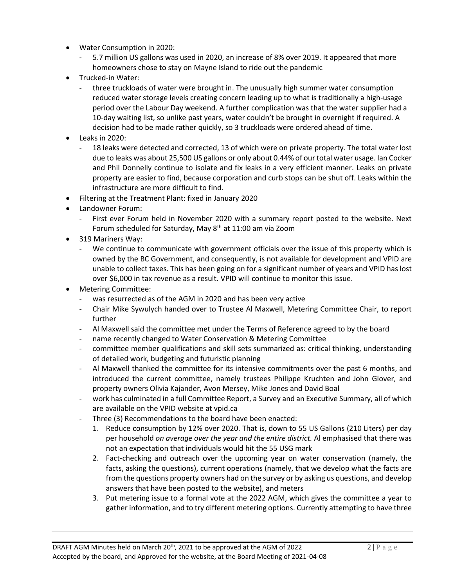- Water Consumption in 2020:
	- 5.7 million US gallons was used in 2020, an increase of 8% over 2019. It appeared that more homeowners chose to stay on Mayne Island to ride out the pandemic
- Trucked-in Water:
	- three truckloads of water were brought in. The unusually high summer water consumption reduced water storage levels creating concern leading up to what is traditionally a high-usage period over the Labour Day weekend. A further complication was that the water supplier had a 10-day waiting list, so unlike past years, water couldn't be brought in overnight if required. A decision had to be made rather quickly, so 3 truckloads were ordered ahead of time.
- Leaks in 2020:
	- 18 leaks were detected and corrected, 13 of which were on private property. The total water lost due to leaks was about 25,500 US gallons or only about 0.44% of our total water usage. Ian Cocker and Phil Donnelly continue to isolate and fix leaks in a very efficient manner. Leaks on private property are easier to find, because corporation and curb stops can be shut off. Leaks within the infrastructure are more difficult to find.
- Filtering at the Treatment Plant: fixed in January 2020
- Landowner Forum:
	- First ever Forum held in November 2020 with a summary report posted to the website. Next Forum scheduled for Saturday, May 8<sup>th</sup> at 11:00 am via Zoom
- 319 Mariners Way:
	- We continue to communicate with government officials over the issue of this property which is owned by the BC Government, and consequently, is not available for development and VPID are unable to collect taxes. This has been going on for a significant number of years and VPID has lost over \$6,000 in tax revenue as a result. VPID will continue to monitor this issue.
- Metering Committee:
	- was resurrected as of the AGM in 2020 and has been very active
	- Chair Mike Sywulych handed over to Trustee Al Maxwell, Metering Committee Chair, to report further
	- Al Maxwell said the committee met under the Terms of Reference agreed to by the board
	- name recently changed to Water Conservation & Metering Committee
	- committee member qualifications and skill sets summarized as: critical thinking, understanding of detailed work, budgeting and futuristic planning
	- Al Maxwell thanked the committee for its intensive commitments over the past 6 months, and introduced the current committee, namely trustees Philippe Kruchten and John Glover, and property owners Olivia Kajander, Avon Mersey, Mike Jones and David Boal
	- work has culminated in a full Committee Report, a Survey and an Executive Summary, all of which are available on the VPID website at vpid.ca
	- Three (3) Recommendations to the board have been enacted:
		- 1. Reduce consumption by 12% over 2020. That is, down to 55 US Gallons (210 Liters) per day per household *on average over the year and the entire district.* Al emphasised that there was not an expectation that individuals would hit the 55 USG mark
		- 2. Fact-checking and outreach over the upcoming year on water conservation (namely, the facts, asking the questions), current operations (namely, that we develop what the facts are from the questions property owners had on the survey or by asking us questions, and develop answers that have been posted to the website), and meters
		- 3. Put metering issue to a formal vote at the 2022 AGM, which gives the committee a year to gather information, and to try different metering options. Currently attempting to have three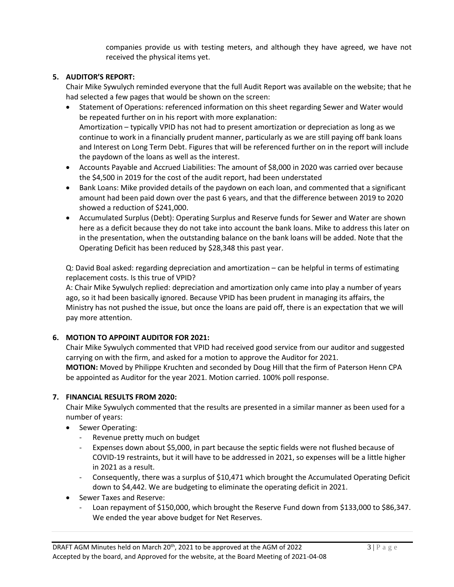companies provide us with testing meters, and although they have agreed, we have not received the physical items yet.

#### **5. AUDITOR'S REPORT:**

Chair Mike Sywulych reminded everyone that the full Audit Report was available on the website; that he had selected a few pages that would be shown on the screen:

- Statement of Operations: referenced information on this sheet regarding Sewer and Water would be repeated further on in his report with more explanation: Amortization – typically VPID has not had to present amortization or depreciation as long as we continue to work in a financially prudent manner, particularly as we are still paying off bank loans and Interest on Long Term Debt. Figures that will be referenced further on in the report will include the paydown of the loans as well as the interest.
- Accounts Payable and Accrued Liabilities: The amount of \$8,000 in 2020 was carried over because the \$4,500 in 2019 for the cost of the audit report, had been understated
- Bank Loans: Mike provided details of the paydown on each loan, and commented that a significant amount had been paid down over the past 6 years, and that the difference between 2019 to 2020 showed a reduction of \$241,000.
- Accumulated Surplus (Debt): Operating Surplus and Reserve funds for Sewer and Water are shown here as a deficit because they do not take into account the bank loans. Mike to address this later on in the presentation, when the outstanding balance on the bank loans will be added. Note that the Operating Deficit has been reduced by \$28,348 this past year.

Q: David Boal asked: regarding depreciation and amortization – can be helpful in terms of estimating replacement costs. Is this true of VPID?

A: Chair Mike Sywulych replied: depreciation and amortization only came into play a number of years ago, so it had been basically ignored. Because VPID has been prudent in managing its affairs, the Ministry has not pushed the issue, but once the loans are paid off, there is an expectation that we will pay more attention.

#### **6. MOTION TO APPOINT AUDITOR FOR 2021:**

Chair Mike Sywulych commented that VPID had received good service from our auditor and suggested carrying on with the firm, and asked for a motion to approve the Auditor for 2021. **MOTION:** Moved by Philippe Kruchten and seconded by Doug Hill that the firm of Paterson Henn CPA be appointed as Auditor for the year 2021. Motion carried. 100% poll response.

### **7. FINANCIAL RESULTS FROM 2020:**

Chair Mike Sywulych commented that the results are presented in a similar manner as been used for a number of years:

- Sewer Operating:
	- Revenue pretty much on budget
	- Expenses down about \$5,000, in part because the septic fields were not flushed because of COVID-19 restraints, but it will have to be addressed in 2021, so expenses will be a little higher in 2021 as a result.
	- Consequently, there was a surplus of \$10,471 which brought the Accumulated Operating Deficit down to \$4,442. We are budgeting to eliminate the operating deficit in 2021.
- Sewer Taxes and Reserve:
	- Loan repayment of \$150,000, which brought the Reserve Fund down from \$133,000 to \$86,347. We ended the year above budget for Net Reserves.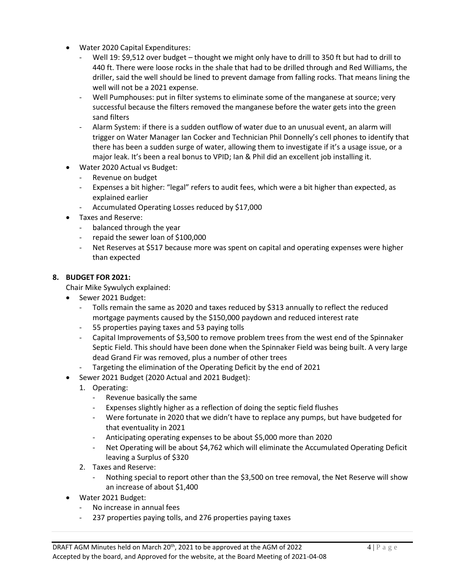- Water 2020 Capital Expenditures:
	- Well 19: \$9,512 over budget thought we might only have to drill to 350 ft but had to drill to 440 ft. There were loose rocks in the shale that had to be drilled through and Red Williams, the driller, said the well should be lined to prevent damage from falling rocks. That means lining the well will not be a 2021 expense.
	- Well Pumphouses: put in filter systems to eliminate some of the manganese at source; very successful because the filters removed the manganese before the water gets into the green sand filters
	- Alarm System: if there is a sudden outflow of water due to an unusual event, an alarm will trigger on Water Manager Ian Cocker and Technician Phil Donnelly's cell phones to identify that there has been a sudden surge of water, allowing them to investigate if it's a usage issue, or a major leak. It's been a real bonus to VPID; Ian & Phil did an excellent job installing it.
- Water 2020 Actual vs Budget:
	- Revenue on budget
	- Expenses a bit higher: "legal" refers to audit fees, which were a bit higher than expected, as explained earlier
	- Accumulated Operating Losses reduced by \$17,000
- Taxes and Reserve:
	- balanced through the year
	- repaid the sewer loan of \$100,000
	- Net Reserves at \$517 because more was spent on capital and operating expenses were higher than expected

#### **8. BUDGET FOR 2021:**

Chair Mike Sywulych explained:

- Sewer 2021 Budget:
	- Tolls remain the same as 2020 and taxes reduced by \$313 annually to reflect the reduced mortgage payments caused by the \$150,000 paydown and reduced interest rate
	- 55 properties paying taxes and 53 paying tolls
	- Capital Improvements of \$3,500 to remove problem trees from the west end of the Spinnaker Septic Field. This should have been done when the Spinnaker Field was being built. A very large dead Grand Fir was removed, plus a number of other trees
	- Targeting the elimination of the Operating Deficit by the end of 2021
- Sewer 2021 Budget (2020 Actual and 2021 Budget):
	- 1. Operating:
		- Revenue basically the same
		- Expenses slightly higher as a reflection of doing the septic field flushes
		- Were fortunate in 2020 that we didn't have to replace any pumps, but have budgeted for that eventuality in 2021
		- Anticipating operating expenses to be about \$5,000 more than 2020
		- Net Operating will be about \$4,762 which will eliminate the Accumulated Operating Deficit leaving a Surplus of \$320
	- 2. Taxes and Reserve:
		- Nothing special to report other than the \$3,500 on tree removal, the Net Reserve will show an increase of about \$1,400
- Water 2021 Budget:
	- No increase in annual fees
	- 237 properties paying tolls, and 276 properties paying taxes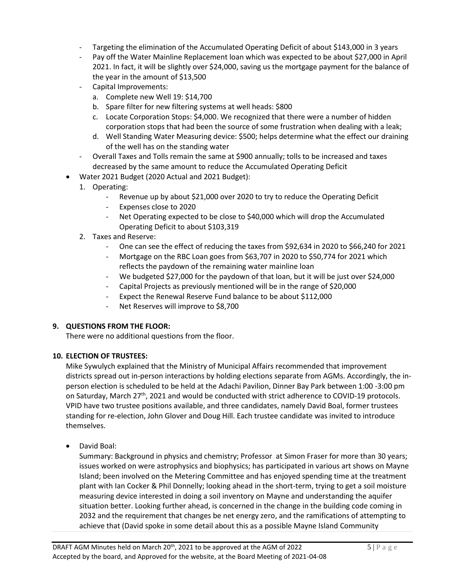- Targeting the elimination of the Accumulated Operating Deficit of about \$143,000 in 3 years
- Pay off the Water Mainline Replacement loan which was expected to be about \$27,000 in April 2021. In fact, it will be slightly over \$24,000, saving us the mortgage payment for the balance of the year in the amount of \$13,500
- Capital Improvements:
	- a. Complete new Well 19: \$14,700
	- b. Spare filter for new filtering systems at well heads: \$800
	- c. Locate Corporation Stops: \$4,000. We recognized that there were a number of hidden corporation stops that had been the source of some frustration when dealing with a leak;
	- d. Well Standing Water Measuring device: \$500; helps determine what the effect our draining of the well has on the standing water
- Overall Taxes and Tolls remain the same at \$900 annually; tolls to be increased and taxes decreased by the same amount to reduce the Accumulated Operating Deficit
- Water 2021 Budget (2020 Actual and 2021 Budget):
	- 1. Operating:
		- Revenue up by about \$21,000 over 2020 to try to reduce the Operating Deficit
		- Expenses close to 2020
		- Net Operating expected to be close to \$40,000 which will drop the Accumulated Operating Deficit to about \$103,319
	- 2. Taxes and Reserve:
		- One can see the effect of reducing the taxes from \$92,634 in 2020 to \$66,240 for 2021
		- Mortgage on the RBC Loan goes from \$63,707 in 2020 to \$50,774 for 2021 which reflects the paydown of the remaining water mainline loan
		- We budgeted \$27,000 for the paydown of that loan, but it will be just over \$24,000
		- Capital Projects as previously mentioned will be in the range of \$20,000
		- Expect the Renewal Reserve Fund balance to be about \$112,000
		- Net Reserves will improve to \$8,700

#### **9. QUESTIONS FROM THE FLOOR:**

There were no additional questions from the floor.

#### **10. ELECTION OF TRUSTEES:**

Mike Sywulych explained that the Ministry of Municipal Affairs recommended that improvement districts spread out in-person interactions by holding elections separate from AGMs. Accordingly, the inperson election is scheduled to be held at the Adachi Pavilion, Dinner Bay Park between 1:00 -3:00 pm on Saturday, March 27<sup>th</sup>, 2021 and would be conducted with strict adherence to COVID-19 protocols. VPID have two trustee positions available, and three candidates, namely David Boal, former trustees standing for re-election, John Glover and Doug Hill. Each trustee candidate was invited to introduce themselves.

• David Boal:

Summary: Background in physics and chemistry; Professor at Simon Fraser for more than 30 years; issues worked on were astrophysics and biophysics; has participated in various art shows on Mayne Island; been involved on the Metering Committee and has enjoyed spending time at the treatment plant with Ian Cocker & Phil Donnelly; looking ahead in the short-term, trying to get a soil moisture measuring device interested in doing a soil inventory on Mayne and understanding the aquifer situation better. Looking further ahead, is concerned in the change in the building code coming in 2032 and the requirement that changes be net energy zero, and the ramifications of attempting to achieve that (David spoke in some detail about this as a possible Mayne Island Community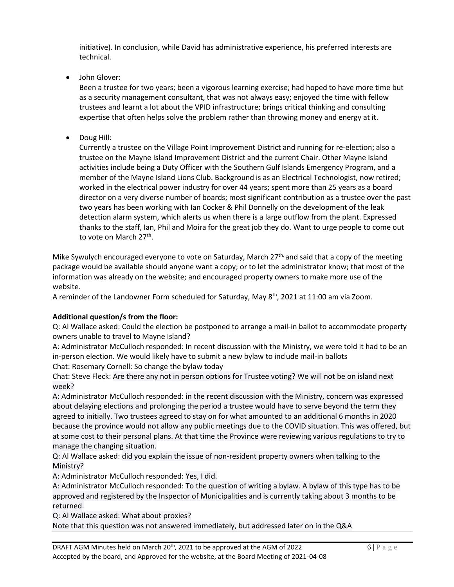initiative). In conclusion, while David has administrative experience, his preferred interests are technical.

• John Glover:

Been a trustee for two years; been a vigorous learning exercise; had hoped to have more time but as a security management consultant, that was not always easy; enjoyed the time with fellow trustees and learnt a lot about the VPID infrastructure; brings critical thinking and consulting expertise that often helps solve the problem rather than throwing money and energy at it.

• Doug Hill:

Currently a trustee on the Village Point Improvement District and running for re-election; also a trustee on the Mayne Island Improvement District and the current Chair. Other Mayne Island activities include being a Duty Officer with the Southern Gulf Islands Emergency Program, and a member of the Mayne Island Lions Club. Background is as an Electrical Technologist, now retired; worked in the electrical power industry for over 44 years; spent more than 25 years as a board director on a very diverse number of boards; most significant contribution as a trustee over the past two years has been working with Ian Cocker & Phil Donnelly on the development of the leak detection alarm system, which alerts us when there is a large outflow from the plant. Expressed thanks to the staff, Ian, Phil and Moira for the great job they do. Want to urge people to come out to vote on March 27<sup>th</sup>.

Mike Sywulych encouraged everyone to vote on Saturday, March 27<sup>th,</sup> and said that a copy of the meeting package would be available should anyone want a copy; or to let the administrator know; that most of the information was already on the website; and encouraged property owners to make more use of the website.

A reminder of the Landowner Form scheduled for Saturday, May 8th, 2021 at 11:00 am via Zoom.

#### **Additional question/s from the floor:**

Q: Al Wallace asked: Could the election be postponed to arrange a mail-in ballot to accommodate property owners unable to travel to Mayne Island?

A: Administrator McCulloch responded: In recent discussion with the Ministry, we were told it had to be an in-person election. We would likely have to submit a new bylaw to include mail-in ballots Chat: Rosemary Cornell: So change the bylaw today

Chat: Steve Fleck: Are there any not in person options for Trustee voting? We will not be on island next week?

A: Administrator McCulloch responded: in the recent discussion with the Ministry, concern was expressed about delaying elections and prolonging the period a trustee would have to serve beyond the term they agreed to initially. Two trustees agreed to stay on for what amounted to an additional 6 months in 2020 because the province would not allow any public meetings due to the COVID situation. This was offered, but at some cost to their personal plans. At that time the Province were reviewing various regulations to try to manage the changing situation.

Q: Al Wallace asked: did you explain the issue of non-resident property owners when talking to the Ministry?

A: Administrator McCulloch responded: Yes, I did.

A: Administrator McCulloch responded: To the question of writing a bylaw. A bylaw of this type has to be approved and registered by the Inspector of Municipalities and is currently taking about 3 months to be returned.

Q: Al Wallace asked: What about proxies?

Note that this question was not answered immediately, but addressed later on in the Q&A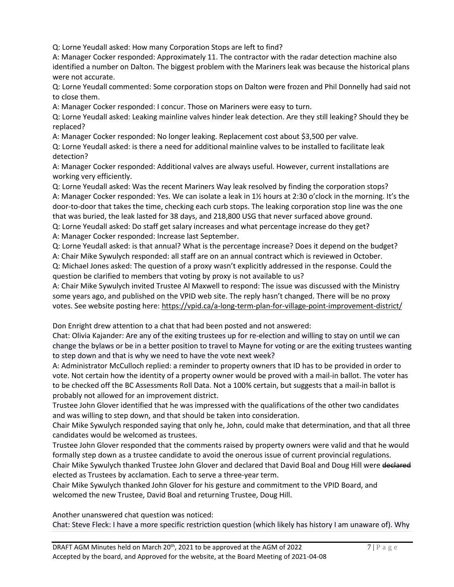Q: Lorne Yeudall asked: How many Corporation Stops are left to find?

A: Manager Cocker responded: Approximately 11. The contractor with the radar detection machine also identified a number on Dalton. The biggest problem with the Mariners leak was because the historical plans were not accurate.

Q: Lorne Yeudall commented: Some corporation stops on Dalton were frozen and Phil Donnelly had said not to close them.

A: Manager Cocker responded: I concur. Those on Mariners were easy to turn.

Q: Lorne Yeudall asked: Leaking mainline valves hinder leak detection. Are they still leaking? Should they be replaced?

A: Manager Cocker responded: No longer leaking. Replacement cost about \$3,500 per valve.

Q: Lorne Yeudall asked: is there a need for additional mainline valves to be installed to facilitate leak detection?

A: Manager Cocker responded: Additional valves are always useful. However, current installations are working very efficiently.

Q: Lorne Yeudall asked: Was the recent Mariners Way leak resolved by finding the corporation stops? A: Manager Cocker responded: Yes. We can isolate a leak in 1½ hours at 2:30 o'clock in the morning. It's the door-to-door that takes the time, checking each curb stops. The leaking corporation stop line was the one that was buried, the leak lasted for 38 days, and 218,800 USG that never surfaced above ground.

Q: Lorne Yeudall asked: Do staff get salary increases and what percentage increase do they get? A: Manager Cocker responded: Increase last September.

Q: Lorne Yeudall asked: is that annual? What is the percentage increase? Does it depend on the budget?

A: Chair Mike Sywulych responded: all staff are on an annual contract which is reviewed in October. Q: Michael Jones asked: The question of a proxy wasn't explicitly addressed in the response. Could the

question be clarified to members that voting by proxy is not available to us?

A: Chair Mike Sywulych invited Trustee Al Maxwell to respond: The issue was discussed with the Ministry some years ago, and published on the VPID web site. The reply hasn't changed. There will be no proxy votes. See website posting here:<https://vpid.ca/a-long-term-plan-for-village-point-improvement-district/>

Don Enright drew attention to a chat that had been posted and not answered:

Chat: Olivia Kajander: Are any of the exiting trustees up for re-election and willing to stay on until we can change the bylaws or be in a better position to travel to Mayne for voting or are the exiting trustees wanting to step down and that is why we need to have the vote next week?

A: Administrator McCulloch replied: a reminder to property owners that ID has to be provided in order to vote. Not certain how the identity of a property owner would be proved with a mail-in ballot. The voter has to be checked off the BC Assessments Roll Data. Not a 100% certain, but suggests that a mail-in ballot is probably not allowed for an improvement district.

Trustee John Glover identified that he was impressed with the qualifications of the other two candidates and was willing to step down, and that should be taken into consideration.

Chair Mike Sywulych responded saying that only he, John, could make that determination, and that all three candidates would be welcomed as trustees.

Trustee John Glover responded that the comments raised by property owners were valid and that he would formally step down as a trustee candidate to avoid the onerous issue of current provincial regulations.

Chair Mike Sywulych thanked Trustee John Glover and declared that David Boal and Doug Hill were declared elected as Trustees by acclamation. Each to serve a three-year term.

Chair Mike Sywulych thanked John Glover for his gesture and commitment to the VPID Board, and welcomed the new Trustee, David Boal and returning Trustee, Doug Hill.

Another unanswered chat question was noticed:

Chat: Steve Fleck: I have a more specific restriction question (which likely has history I am unaware of). Why